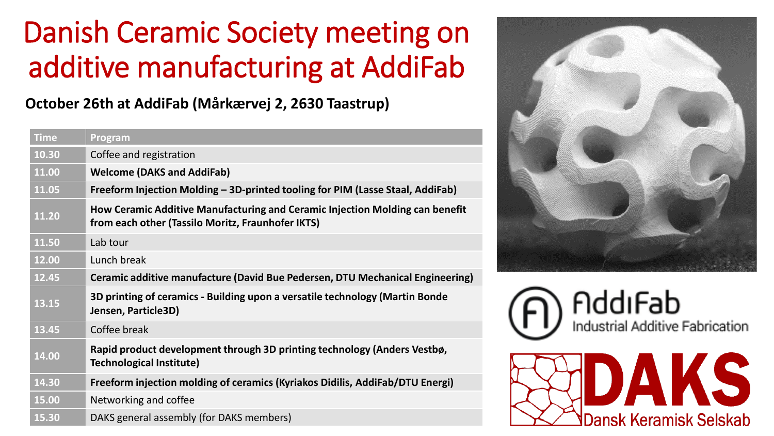## Danish Ceramic Society meeting on additive manufacturing at AddiFab

**October 26th at AddiFab (Mårkærvej 2, 2630 Taastrup)**

| <b>Time</b> | Program                                                                                                                           |
|-------------|-----------------------------------------------------------------------------------------------------------------------------------|
| 10.30       | Coffee and registration                                                                                                           |
| 11.00       | <b>Welcome (DAKS and AddiFab)</b>                                                                                                 |
| 11.05       | Freeform Injection Molding – 3D-printed tooling for PIM (Lasse Staal, AddiFab)                                                    |
| 11.20       | How Ceramic Additive Manufacturing and Ceramic Injection Molding can benefit<br>from each other (Tassilo Moritz, Fraunhofer IKTS) |
| 11.50       | Lab tour                                                                                                                          |
| 12.00       | Lunch break                                                                                                                       |
| 12.45       | Ceramic additive manufacture (David Bue Pedersen, DTU Mechanical Engineering)                                                     |
| 13.15       | 3D printing of ceramics - Building upon a versatile technology (Martin Bonde<br>Jensen, Particle3D)                               |
| 13.45       | Coffee break                                                                                                                      |
| 14.00       | Rapid product development through 3D printing technology (Anders Vestbø,<br><b>Technological Institute)</b>                       |
| 14.30       | Freeform injection molding of ceramics (Kyriakos Didilis, AddiFab/DTU Energi)                                                     |
| 15.00       | Networking and coffee                                                                                                             |
| 15.30       | DAKS general assembly (for DAKS members)                                                                                          |





**Dansk Keramisk Selskab** 

 $\vert \ \rangle$